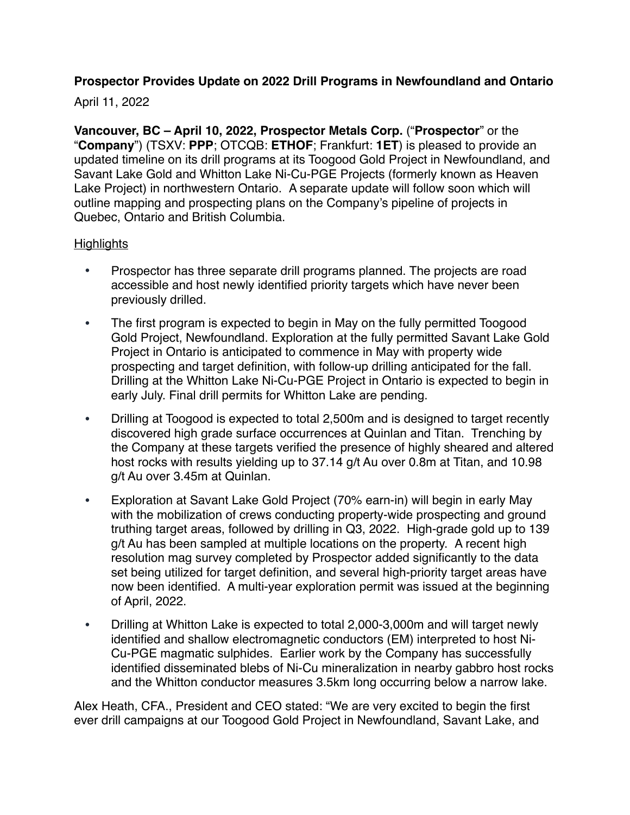# **Prospector Provides Update on 2022 Drill Programs in Newfoundland and Ontario**

## April 11, 2022

**Vancouver, BC – April 10, 2022, Prospector Metals Corp.** ("**Prospector**" or the "**Company**") (TSXV: **PPP**; OTCQB: **ETHOF**; Frankfurt: **1ET**) is pleased to provide an updated timeline on its drill programs at its Toogood Gold Project in Newfoundland, and Savant Lake Gold and Whitton Lake Ni-Cu-PGE Projects (formerly known as Heaven Lake Project) in northwestern Ontario. A separate update will follow soon which will outline mapping and prospecting plans on the Company's pipeline of projects in Quebec, Ontario and British Columbia.

## **Highlights**

- Prospector has three separate drill programs planned. The projects are road accessible and host newly identified priority targets which have never been previously drilled.
- The first program is expected to begin in May on the fully permitted Toogood Gold Project, Newfoundland. Exploration at the fully permitted Savant Lake Gold Project in Ontario is anticipated to commence in May with property wide prospecting and target definition, with follow-up drilling anticipated for the fall. Drilling at the Whitton Lake Ni-Cu-PGE Project in Ontario is expected to begin in early July. Final drill permits for Whitton Lake are pending.
- Drilling at Toogood is expected to total 2,500m and is designed to target recently discovered high grade surface occurrences at Quinlan and Titan. Trenching by the Company at these targets verified the presence of highly sheared and altered host rocks with results yielding up to 37.14 g/t Au over 0.8m at Titan, and 10.98 g/t Au over 3.45m at Quinlan.
- Exploration at Savant Lake Gold Project (70% earn-in) will begin in early May with the mobilization of crews conducting property-wide prospecting and ground truthing target areas, followed by drilling in Q3, 2022. High-grade gold up to 139 g/t Au has been sampled at multiple locations on the property. A recent high resolution mag survey completed by Prospector added significantly to the data set being utilized for target definition, and several high-priority target areas have now been identified. A multi-year exploration permit was issued at the beginning of April, 2022.
- Drilling at Whitton Lake is expected to total 2,000-3,000m and will target newly identified and shallow electromagnetic conductors (EM) interpreted to host Ni-Cu-PGE magmatic sulphides. Earlier work by the Company has successfully identified disseminated blebs of Ni-Cu mineralization in nearby gabbro host rocks and the Whitton conductor measures 3.5km long occurring below a narrow lake.

Alex Heath, CFA., President and CEO stated: "We are very excited to begin the first ever drill campaigns at our Toogood Gold Project in Newfoundland, Savant Lake, and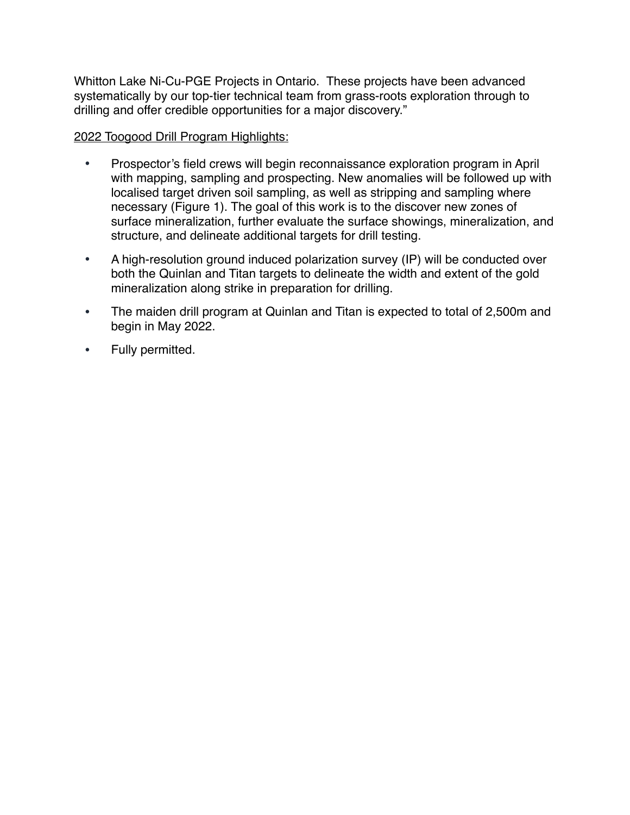Whitton Lake Ni-Cu-PGE Projects in Ontario. These projects have been advanced systematically by our top-tier technical team from grass-roots exploration through to drilling and offer credible opportunities for a major discovery."

### 2022 Toogood Drill Program Highlights:

- Prospector's field crews will begin reconnaissance exploration program in April with mapping, sampling and prospecting. New anomalies will be followed up with localised target driven soil sampling, as well as stripping and sampling where necessary (Figure 1). The goal of this work is to the discover new zones of surface mineralization, further evaluate the surface showings, mineralization, and structure, and delineate additional targets for drill testing.
- A high-resolution ground induced polarization survey (IP) will be conducted over both the Quinlan and Titan targets to delineate the width and extent of the gold mineralization along strike in preparation for drilling.
- The maiden drill program at Quinlan and Titan is expected to total of 2,500m and begin in May 2022.
- Fully permitted.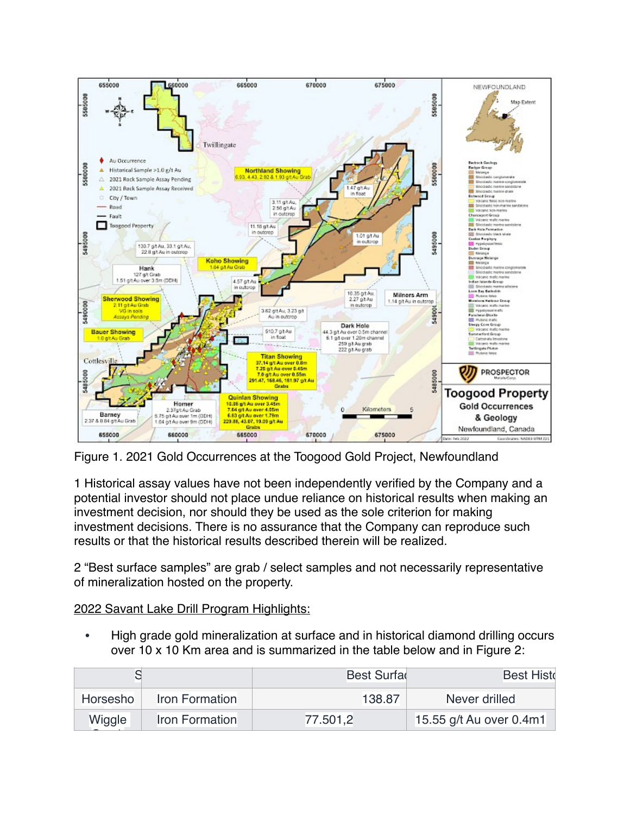

Figure 1. 2021 Gold Occurrences at the Toogood Gold Project, Newfoundland

1 Historical assay values have not been independently verified by the Company and a potential investor should not place undue reliance on historical results when making an investment decision, nor should they be used as the sole criterion for making investment decisions. There is no assurance that the Company can reproduce such results or that the historical results described therein will be realized.

2 "Best surface samples" are grab / select samples and not necessarily representative of mineralization hosted on the property.

2022 Savant Lake Drill Program Highlights:

• High grade gold mineralization at surface and in historical diamond drilling occurs over 10 x 10 Km area and is summarized in the table below and in Figure 2:

|                            | Best Surfa | <b>Best Histo</b>       |  |
|----------------------------|------------|-------------------------|--|
| Iron Formation<br>Horsesho | 138.87     | Never drilled           |  |
| Wiggle<br>Iron Formation   | 77.501,2   | 15.55 g/t Au over 0.4m1 |  |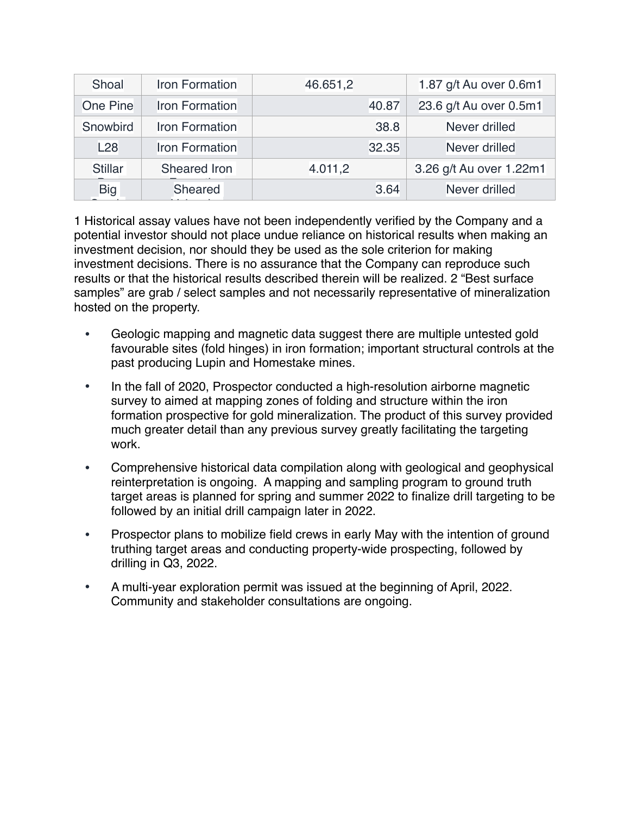| Shoal           | Iron Formation        | 46.651,2 | 1.87 g/t Au over 0.6m1  |
|-----------------|-----------------------|----------|-------------------------|
| <b>One Pine</b> | <b>Iron Formation</b> | 40.87    | 23.6 g/t Au over 0.5m1  |
| Snowbird        | Iron Formation        | 38.8     | Never drilled           |
| L28             | <b>Iron Formation</b> | 32.35    | Never drilled           |
| <b>Stillar</b>  | Sheared Iron          | 4.011,2  | 3.26 g/t Au over 1.22m1 |
| <b>Big</b>      | Sheared               | 3.64     | Never drilled           |
|                 |                       |          |                         |

1 Historical assay values have not been independently verified by the Company and a potential investor should not place undue reliance on historical results when making an investment decision, nor should they be used as the sole criterion for making investment decisions. There is no assurance that the Company can reproduce such results or that the historical results described therein will be realized. 2 "Best surface samples" are grab / select samples and not necessarily representative of mineralization hosted on the property.

- Geologic mapping and magnetic data suggest there are multiple untested gold favourable sites (fold hinges) in iron formation; important structural controls at the past producing Lupin and Homestake mines.
- In the fall of 2020, Prospector conducted a high-resolution airborne magnetic survey to aimed at mapping zones of folding and structure within the iron formation prospective for gold mineralization. The product of this survey provided much greater detail than any previous survey greatly facilitating the targeting work.
- Comprehensive historical data compilation along with geological and geophysical reinterpretation is ongoing. A mapping and sampling program to ground truth target areas is planned for spring and summer 2022 to finalize drill targeting to be followed by an initial drill campaign later in 2022.
- Prospector plans to mobilize field crews in early May with the intention of ground truthing target areas and conducting property-wide prospecting, followed by drilling in Q3, 2022.
- A multi-year exploration permit was issued at the beginning of April, 2022. Community and stakeholder consultations are ongoing.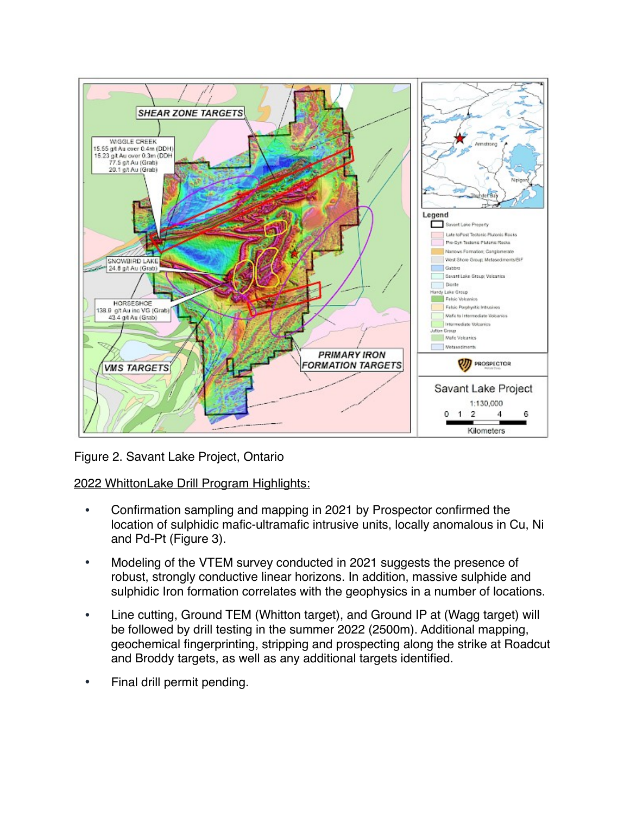

Figure 2. Savant Lake Project, Ontario

2022 WhittonLake Drill Program Highlights:

- Confirmation sampling and mapping in 2021 by Prospector confirmed the location of sulphidic mafic-ultramafic intrusive units, locally anomalous in Cu, Ni and Pd-Pt (Figure 3).
- Modeling of the VTEM survey conducted in 2021 suggests the presence of robust, strongly conductive linear horizons. In addition, massive sulphide and sulphidic Iron formation correlates with the geophysics in a number of locations.
- Line cutting, Ground TEM (Whitton target), and Ground IP at (Wagg target) will be followed by drill testing in the summer 2022 (2500m). Additional mapping, geochemical fingerprinting, stripping and prospecting along the strike at Roadcut and Broddy targets, as well as any additional targets identified.
- Final drill permit pending.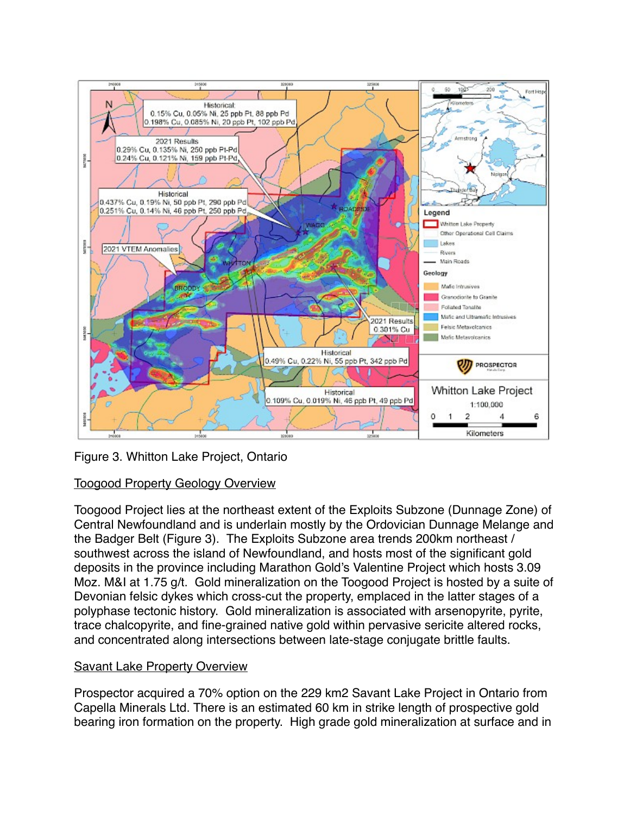

Figure 3. Whitton Lake Project, Ontario

# Toogood Property Geology Overview

Toogood Project lies at the northeast extent of the Exploits Subzone (Dunnage Zone) of Central Newfoundland and is underlain mostly by the Ordovician Dunnage Melange and the Badger Belt (Figure 3). The Exploits Subzone area trends 200km northeast / southwest across the island of Newfoundland, and hosts most of the significant gold deposits in the province including Marathon Gold's Valentine Project which hosts 3.09 Moz. M&I at 1.75 g/t. Gold mineralization on the Toogood Project is hosted by a suite of Devonian felsic dykes which cross-cut the property, emplaced in the latter stages of a polyphase tectonic history. Gold mineralization is associated with arsenopyrite, pyrite, trace chalcopyrite, and fine-grained native gold within pervasive sericite altered rocks, and concentrated along intersections between late-stage conjugate brittle faults.

## **Savant Lake Property Overview**

Prospector acquired a 70% option on the 229 km2 Savant Lake Project in Ontario from Capella Minerals Ltd. There is an estimated 60 km in strike length of prospective gold bearing iron formation on the property. High grade gold mineralization at surface and in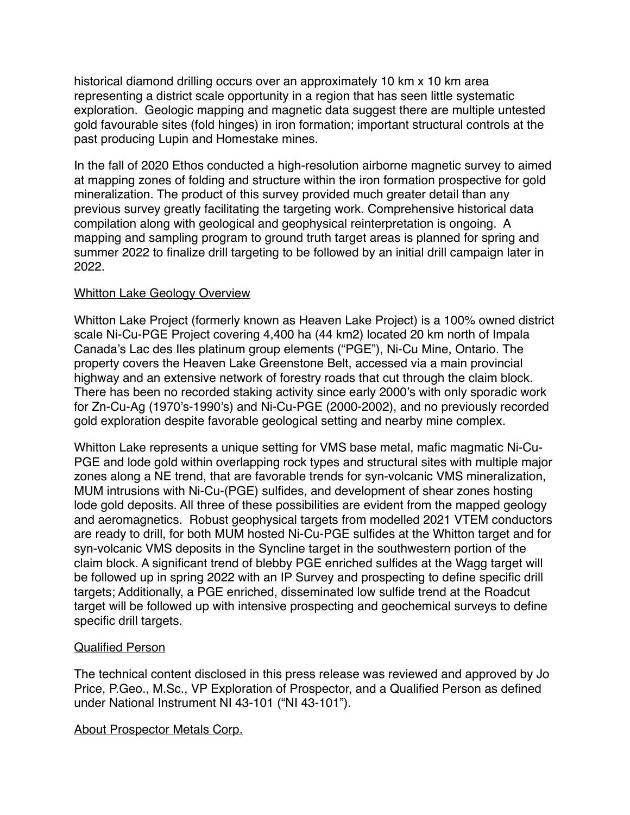historical diamond drilling occurs over an approximately 10 km x 10 km area representing a district scale opportunity in a region that has seen little systematic exploration. Geologic mapping and magnetic data suggest there are multiple untested gold favourable sites (fold hinges) in iron formation; important structural controls at the past producing Lupin and Homestake mines.

In the fall of 2020 Ethos conducted a high-resolution airborne magnetic survey to aimed at mapping zones of folding and structure within the iron formation prospective for gold mineralization. The product of this survey provided much greater detail than any previous survey greatly facilitating the targeting work. Comprehensive historical data compilation along with geological and geophysical reinterpretation is ongoing. A mapping and sampling program to ground truth target areas is planned for spring and summer 2022 to finalize drill targeting to be followed by an initial drill campaign later in 2022.

### **Whitton Lake Geology Overview**

Whitton Lake Project (formerly known as Heaven Lake Project) is a 100% owned district scale Ni-Cu-PGE Project covering 4,400 ha (44 km2) located 20 km north of Impala Canada's Lac des Iles platinum group elements ("PGE"), Ni-Cu Mine, Ontario. The property covers the Heaven Lake Greenstone Belt, accessed via a main provincial highway and an extensive network of forestry roads that cut through the claim block. There has been no recorded staking activity since early 2000's with only sporadic work for Zn-Cu-Ag (1970's-1990's) and Ni-Cu-PGE (2000-2002), and no previously recorded gold exploration despite favorable geological setting and nearby mine complex.

Whitton Lake represents a unique setting for VMS base metal, mafic magmatic Ni-Cu-PGE and lode gold within overlapping rock types and structural sites with multiple major zones along a NE trend, that are favorable trends for syn-volcanic VMS mineralization, MUM intrusions with Ni-Cu-(PGE) sulfides, and development of shear zones hosting lode gold deposits. All three of these possibilities are evident from the mapped geology and aeromagnetics. Robust geophysical targets from modelled 2021 VTEM conductors are ready to drill, for both MUM hosted Ni-Cu-PGE sulfides at the Whitton target and for syn-volcanic VMS deposits in the Syncline target in the southwestern portion of the claim block. A significant trend of blebby PGE enriched sulfides at the Wagg target will be followed up in spring 2022 with an IP Survey and prospecting to define specific drill targets; Additionally, a PGE enriched, disseminated low sulfide trend at the Roadcut target will be followed up with intensive prospecting and geochemical surveys to define specific drill targets.

#### Qualified Person

The technical content disclosed in this press release was reviewed and approved by Jo Price, P.Geo., M.Sc., VP Exploration of Prospector, and a Qualified Person as defined under National Instrument NI 43-101 ("NI 43-101").

#### About Prospector Metals Corp.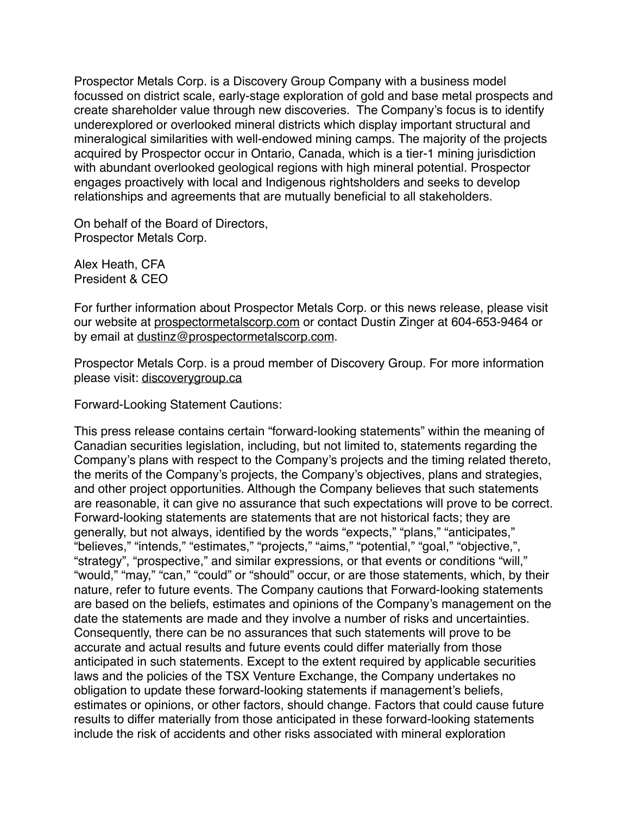Prospector Metals Corp. is a Discovery Group Company with a business model focussed on district scale, early-stage exploration of gold and base metal prospects and create shareholder value through new discoveries. The Company's focus is to identify underexplored or overlooked mineral districts which display important structural and mineralogical similarities with well-endowed mining camps. The majority of the projects acquired by Prospector occur in Ontario, Canada, which is a tier-1 mining jurisdiction with abundant overlooked geological regions with high mineral potential. Prospector engages proactively with local and Indigenous rightsholders and seeks to develop relationships and agreements that are mutually beneficial to all stakeholders.

On behalf of the Board of Directors, Prospector Metals Corp.

Alex Heath, CFA President & CEO

For further information about Prospector Metals Corp. or this news release, please visit our website at [prospectormetalscorp.com](http://www.ethosgold.com/) or contact Dustin Zinger at 604-653-9464 or by email at [dustinz@prospectormetalscorp.com.](mailto:dustinz@prospectormetalscorp.com)

Prospector Metals Corp. is a proud member of Discovery Group. For more information please visit: [discoverygroup.ca](http://www.discoverygroup.ca/)

Forward-Looking Statement Cautions:

This press release contains certain "forward-looking statements" within the meaning of Canadian securities legislation, including, but not limited to, statements regarding the Company's plans with respect to the Company's projects and the timing related thereto, the merits of the Company's projects, the Company's objectives, plans and strategies, and other project opportunities. Although the Company believes that such statements are reasonable, it can give no assurance that such expectations will prove to be correct. Forward-looking statements are statements that are not historical facts; they are generally, but not always, identified by the words "expects," "plans," "anticipates," "believes," "intends," "estimates," "projects," "aims," "potential," "goal," "objective,", "strategy", "prospective," and similar expressions, or that events or conditions "will," "would," "may," "can," "could" or "should" occur, or are those statements, which, by their nature, refer to future events. The Company cautions that Forward-looking statements are based on the beliefs, estimates and opinions of the Company's management on the date the statements are made and they involve a number of risks and uncertainties. Consequently, there can be no assurances that such statements will prove to be accurate and actual results and future events could differ materially from those anticipated in such statements. Except to the extent required by applicable securities laws and the policies of the TSX Venture Exchange, the Company undertakes no obligation to update these forward-looking statements if management's beliefs, estimates or opinions, or other factors, should change. Factors that could cause future results to differ materially from those anticipated in these forward-looking statements include the risk of accidents and other risks associated with mineral exploration